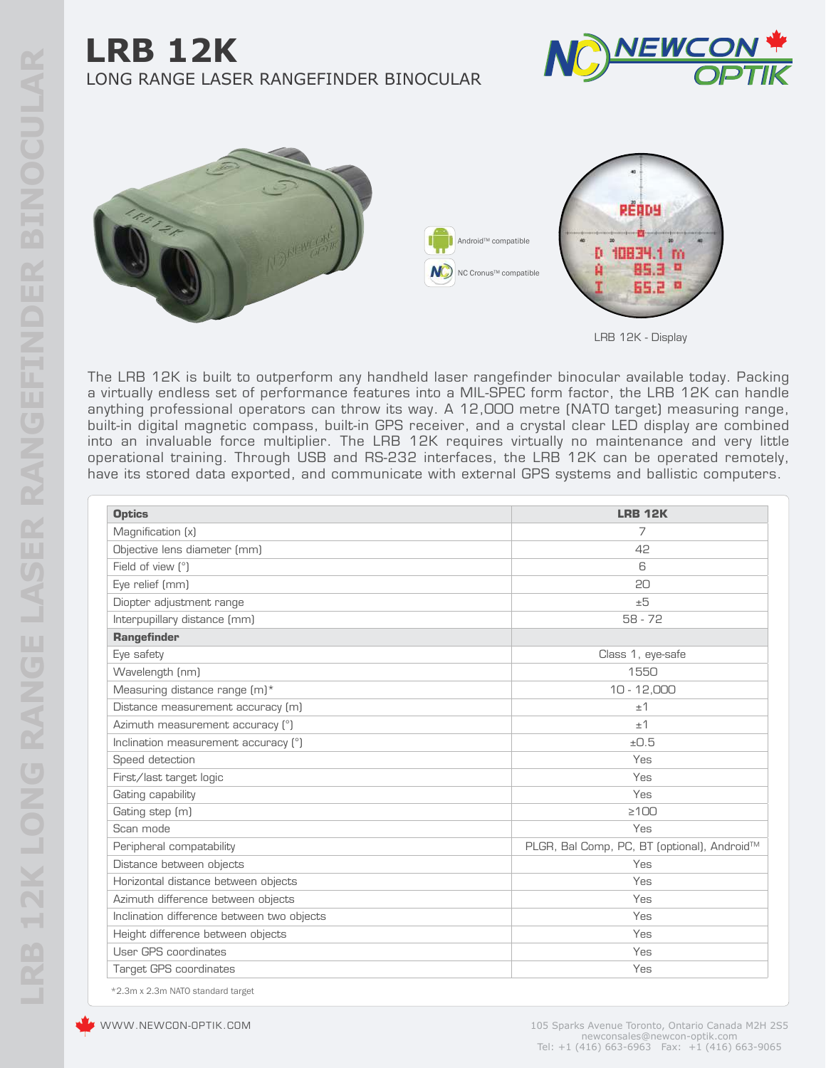## **LRB 12K** LONG RANGE LASER RANGEFINDER BINOCULAR







The LRB 12K is built to outperform any handheld laser rangefinder binocular available today. Packing a virtually endless set of performance features into a MIL-SPEC form factor, the LRB 12K can handle anything professional operators can throw its way. A 12,000 metre (NATO target) measuring range, built-in digital magnetic compass, built-in GPS receiver, and a crystal clear LED display are combined into an invaluable force multiplier. The LRB 12K requires virtually no maintenance and very little operational training. Through USB and RS-232 interfaces, the LRB 12K can be operated remotely, have its stored data exported, and communicate with external GPS systems and ballistic computers.

| <b>Optics</b>                              | <b>LRB 12K</b>                              |
|--------------------------------------------|---------------------------------------------|
| Magnification (x)                          | 7                                           |
| Objective lens diameter (mm)               | 42                                          |
| Field of view [°]                          | 6                                           |
| Eye relief (mm)                            | 20                                          |
| Diopter adjustment range                   | ±5                                          |
| Interpupillary distance (mm)               | $58 - 72$                                   |
| Rangefinder                                |                                             |
| Eye safety                                 | Class 1, eye-safe                           |
| Wavelength (nm)                            | 1550                                        |
| Measuring distance range (m)*              | $10 - 12,000$                               |
| Distance measurement accuracy (m)          | ±1                                          |
| Azimuth measurement accuracy (°)           | ±1                                          |
| Inclination measurement accuracy (°)       | ±0.5                                        |
| Speed detection                            | Yes                                         |
| First/last target logic                    | Yes                                         |
| Gating capability                          | Yes                                         |
| Gating step (m)                            | $\geq 100$                                  |
| Scan mode                                  | Yes                                         |
| Peripheral compatability                   | PLGR, Bal Comp, PC, BT (optional), Android™ |
| Distance between objects                   | Yes                                         |
| Horizontal distance between objects        | Yes                                         |
| Azimuth difference between objects         | Yes                                         |
| Inclination difference between two objects | Yes                                         |
| Height difference between objects          | Yes                                         |
| User GPS coordinates                       | Yes                                         |
| <b>Target GPS coordinates</b>              | Yes                                         |

\*2.3m x 2.3m NATO standard target